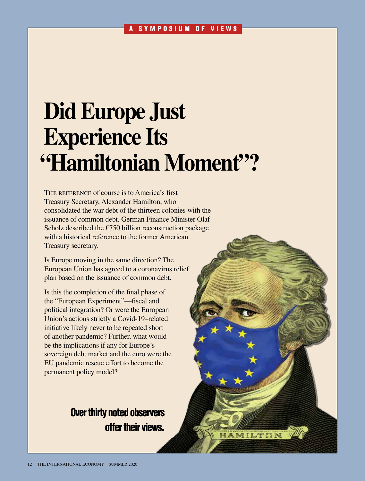# **Did Europe Just Experience Its "Hamiltonian Moment"?**

The reference of course is to America's first Treasury Secretary, Alexander Hamilton, who consolidated the war debt of the thirteen colonies with the issuance of common debt. German Finance Minister Olaf Scholz described the  $\epsilon$ 750 billion reconstruction package with a historical reference to the former American Treasury secretary.

Is Europe moving in the same direction? The European Union has agreed to a coronavirus relief plan based on the issuance of common debt.

Is this the completion of the final phase of the "European Experiment"—fiscal and political integration? Or were the European Union's actions strictly a Covid-19–related initiative likely never to be repeated short of another pandemic? Further, what would be the implications if any for Europe's sovereign debt market and the euro were the EU pandemic rescue effort to become the permanent policy model?

# Over thirty noted observers offer their views.

HAMILTON /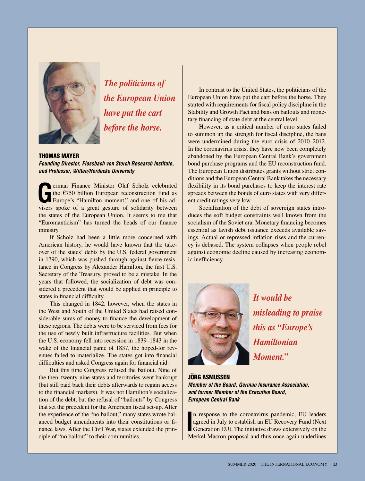

*The politicians of the European Union have put the cart before the horse.* 

### THOMAS MAYER

*Founding Director, Flossbach von Storch Research Institute, and Professor, Witten/Herdecke University*

**GERM** FINALLE SCHOLA EXPORT FINALLE THE EXPORT FOR SCHOOL CONDUCTS THE EUROPE'S "Hamilton moment," and one of his advisors and the state of a slide situation of a slide situation of a slide situation of a slide situation the €750 billion European reconstruction fund as Europe's "Hamilton moment," and one of his advisers spoke of a great gesture of solidarity between the states of the European Union. It seems to me that "Euromanticism" has turned the heads of our finance ministry.

If Scholz had been a little more concerned with American history, he would have known that the takeover of the states' debts by the U.S. federal government in 1790, which was pushed through against fierce resistance in Congress by Alexander Hamilton, the first U.S. Secretary of the Treasury, proved to be a mistake. In the years that followed, the socialization of debt was considered a precedent that would be applied in principle to states in financial difficulty.

This changed in 1842, however, when the states in the West and South of the United States had raised considerable sums of money to finance the development of these regions. The debts were to be serviced from fees for the use of newly built infrastructure facilities. But when the U.S. economy fell into recession in 1839–1843 in the wake of the financial panic of 1837, the hoped-for revenues failed to materialize. The states got into financial difficulties and asked Congress again for financial aid.

But this time Congress refused the bailout. Nine of the then–twenty-nine states and territories went bankrupt (but still paid back their debts afterwards to regain access to the financial markets). It was not Hamilton's socialization of the debt, but the refusal of "bailouts" by Congress that set the precedent for the American fiscal set-up. After the experience of the "no bailout," many states wrote balanced budget amendments into their constitutions or finance laws. After the Civil War, states extended the principle of "no bailout" to their communities.

In contrast to the United States, the politicians of the European Union have put the cart before the horse. They started with requirements for fiscal policy discipline in the Stability and Growth Pact and bans on bailouts and monetary financing of state debt at the central level.

However, as a critical number of euro states failed to summon up the strength for fiscal discipline, the bans were undermined during the euro crisis of 2010–2012. In the coronavirus crisis, they have now been completely abandoned by the European Central Bank's government bond purchase programs and the EU reconstruction fund. The European Union distributes grants without strict conditions and the European Central Bank takes the necessary flexibility in its bond purchases to keep the interest rate spreads between the bonds of euro states with very different credit ratings very low.

Socialization of the debt of sovereign states introduces the soft budget constraints well known from the socialism of the Soviet era. Monetary financing becomes essential as lavish debt issuance exceeds available savings. Actual or repressed inflation rises and the currency is debased. The system collapses when people rebel against economic decline caused by increasing economic inefficiency.



*It would be misleading to praise this as "Europe's Hamiltonian Moment."*

JÖRG ASMUSSEN *Member of the Board, German Insurance Association, and former Member of the Executive Board, European Central Bank*

In response to the coronavirus pandemic, EU leaders agreed in July to establish an EU Recovery Fund (Next Generation EU). The initiative draws extensively on the Merkel-Macron proposal and thus once again underlines n response to the coronavirus pandemic, EU leaders agreed in July to establish an EU Recovery Fund (Next Generation EU). The initiative draws extensively on the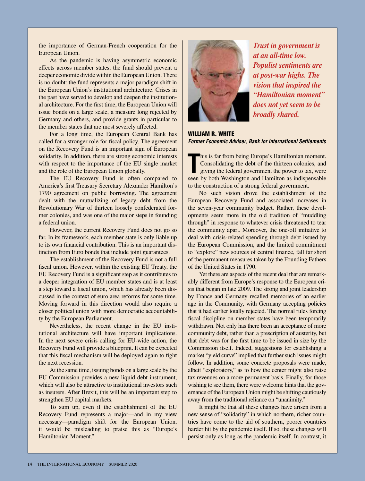the importance of German-French cooperation for the European Union.

As the pandemic is having asymmetric economic effects across member states, the fund should prevent a deeper economic divide within the European Union. There is no doubt: the fund represents a major paradigm shift in the European Union's institutional architecture. Crises in the past have served to develop and deepen the institutional architecture. For the first time, the European Union will issue bonds on a large scale, a measure long rejected by Germany and others, and provide grants in particular to the member states that are most severely affected.

For a long time, the European Central Bank has called for a stronger role for fiscal policy. The agreement on the Recovery Fund is an important sign of European solidarity. In addition, there are strong economic interests with respect to the importance of the EU single market and the role of the European Union globally.

The EU Recovery Fund is often compared to America's first Treasury Secretary Alexander Hamilton's 1790 agreement on public borrowing. The agreement dealt with the mutualizing of legacy debt from the Revolutionary War of thirteen loosely confederated former colonies, and was one of the major steps in founding a federal union.

However, the current Recovery Fund does not go so far. In its framework, each member state is only liable up to its own financial contribution. This is an important distinction from Euro bonds that include joint guarantees.

The establishment of the Recovery Fund is not a full fiscal union. However, within the existing EU Treaty, the EU Recovery Fund is a significant step as it contributes to a deeper integration of EU member states and is at least a step toward a fiscal union, which has already been discussed in the context of euro area reforms for some time. Moving forward in this direction would also require a closer political union with more democratic accountability by the European Parliament.

Nevertheless, the recent change in the EU institutional architecture will have important implications. In the next severe crisis calling for EU-wide action, the Recovery Fund will provide a blueprint. It can be expected that this fiscal mechanism will be deployed again to fight the next recession.

At the same time, issuing bonds on a large scale by the EU Commission provides a new liquid debt instrument, which will also be attractive to institutional investors such as insurers. After Brexit, this will be an important step to strengthen EU capital markets.

To sum up, even if the establishment of the EU Recovery Fund represents a major—and in my view necessary—paradigm shift for the European Union, it would be misleading to praise this as "Europe's Hamiltonian Moment."



*Trust in government is at an all-time low. Populist sentiments are at post-war highs. The vision that inspired the "Hamiltonian moment" does not yet seem to be broadly shared.* 

WILLIAM R. WHITE *Former Economic Adviser, Bank for International Settlements* 

**This is far from being Europe's Hamiltonian moment.**<br>
Consolidating the debt of the thirteen colonies, and<br>
giving the federal government the power to tax, were<br>
seen by both Washington and Hamilton as indispensable his is far from being Europe's Hamiltonian moment. Consolidating the debt of the thirteen colonies, and giving the federal government the power to tax, were to the construction of a strong federal government.

No such vision drove the establishment of the European Recovery Fund and associated increases in the seven-year community budget. Rather, these developments seem more in the old tradition of "muddling through" in response to whatever crisis threatened to tear the community apart. Moreover, the one-off initiative to deal with crisis-related spending through debt issued by the European Commission, and the limited commitment to "explore" new sources of central finance, fall far short of the permanent measures taken by the Founding Fathers of the United States in 1790.

Yet there are aspects of the recent deal that are remarkably different from Europe's response to the European crisis that began in late 2009. The strong and joint leadership by France and Germany recalled memories of an earlier age in the Community, with Germany accepting policies that it had earlier totally rejected. The normal rules forcing fiscal discipline on member states have been temporarily withdrawn. Not only has there been an acceptance of more community debt, rather than a prescription of austerity, but that debt was for the first time to be issued in size by the Commission itself. Indeed, suggestions for establishing a market "yield curve" implied that further such issues might follow. In addition, some concrete proposals were made, albeit "exploratory," as to how the center might also raise tax revenues on a more permanent basis. Finally, for those wishing to see them, there were welcome hints that the governance of the European Union might be shifting cautiously away from the traditional reliance on "unanimity."

It might be that all these changes have arisen from a new sense of "solidarity" in which northern, richer countries have come to the aid of southern, poorer countries harder hit by the pandemic itself. If so, these changes will persist only as long as the pandemic itself. In contrast, it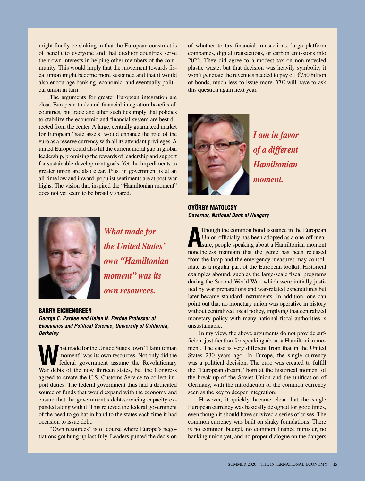might finally be sinking in that the European construct is of benefit to everyone and that creditor countries serve their own interests in helping other members of the community. This would imply that the movement towards fiscal union might become more sustained and that it would also encourage banking, economic, and eventually political union in turn.

The arguments for greater European integration are clear. European trade and financial integration benefits all countries, but trade and other such ties imply that policies to stabilize the economic and financial system are best directed from the center. A large, centrally guaranteed market for European "safe assets' would enhance the role of the euro as a reserve currency with all its attendant privileges. A united Europe could also fill the current moral gap in global leadership, promising the rewards of leadership and support for sustainable development goals. Yet the impediments to greater union are also clear. Trust in government is at an all-time low and inward, populist sentiments are at post-war highs. The vision that inspired the "Hamiltonian moment" does not yet seem to be broadly shared.



*What made for the United States' own "Hamiltonian moment" was its own resources.*

BARRY EICHENGREEN

*George C. Pardee and Helen N. Pardee Professor of Economics and Political Science, University of California, Berkeley*

**What made for the United States' own "Hamiltonian moment" was its own resources. Not only did the federal government assume the Revolutionary** moment" was its own resources. Not only did the federal government assume the Revolutionary War debts of the now thirteen states, but the Congress agreed to create the U.S. Customs Service to collect import duties. The federal government thus had a dedicated source of funds that would expand with the economy and ensure that the government's debt-servicing capacity expanded along with it. This relieved the federal government of the need to go hat in hand to the states each time it had occasion to issue debt.

"Own resources" is of course where Europe's negotiations got hung up last July. Leaders punted the decision of whether to tax financial transactions, large platform companies, digital transactions, or carbon emissions into 2022. They did agree to a modest tax on non-recycled plastic waste, but that decision was heavily symbolic; it won't generate the revenues needed to pay off €750 billion of bonds, much less to issue more. *TIE* will have to ask this question again next year.



*I am in favor of a different Hamiltonian moment.* 

GYÖRGY MATOLCSY *Governor, National Bank of Hungary*

**A** Ithough the common bond issuance in the European Union officially has been adopted as a one-off measure, people speaking about a Hamiltonian moment lthough the common bond issuance in the European Union officially has been adopted as a one-off meanonetheless maintain that the genie has been released from the lamp and the emergency measures may consolidate as a regular part of the European toolkit. Historical examples abound, such as the large-scale fiscal programs during the Second World War, which were initially justified by war preparations and war-related expenditures but later became standard instruments. In addition, one can point out that no monetary union was operative in history without centralized fiscal policy, implying that centralized monetary policy with many national fiscal authorities is unsustainable.

In my view, the above arguments do not provide sufficient justification for speaking about a Hamiltonian moment. The case is very different from that in the United States 230 years ago. In Europe, the single currency was a political decision. The euro was created to fulfill the "European dream," born at the historical moment of the break-up of the Soviet Union and the unification of Germany, with the introduction of the common currency seen as the key to deeper integration.

However, it quickly became clear that the single European currency was basically designed for good times, even though it should have survived a series of crises. The common currency was built on shaky foundations. There is no common budget, no common finance minister, no banking union yet, and no proper dialogue on the dangers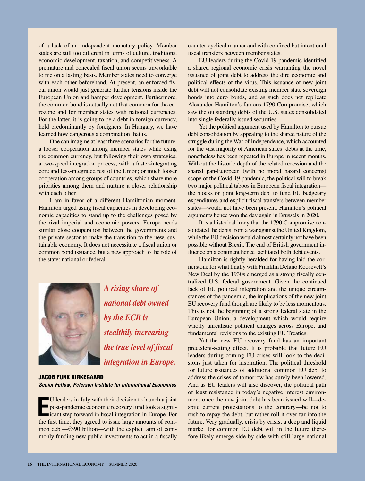of a lack of an independent monetary policy. Member states are still too different in terms of culture, traditions, economic development, taxation, and competitiveness. A premature and concealed fiscal union seems unworkable to me on a lasting basis. Member states need to converge with each other beforehand. At present, an enforced fiscal union would just generate further tensions inside the European Union and hamper development. Furthermore, the common bond is actually not that common for the eurozone and for member states with national currencies. For the latter, it is going to be a debt in foreign currency, held predominantly by foreigners. In Hungary, we have learned how dangerous a combination that is.

One can imagine at least three scenarios for the future: a looser cooperation among member states while using the common currency, but following their own strategies; a two-speed integration process, with a faster-integrating core and less-integrated rest of the Union; or much looser cooperation among groups of countries, which share more priorities among them and nurture a closer relationship with each other.

I am in favor of a different Hamiltonian moment. Hamilton urged using fiscal capacities in developing economic capacities to stand up to the challenges posed by the rival imperial and economic powers. Europe needs similar close cooperation between the governments and the private sector to make the transition to the new, sustainable economy. It does not necessitate a fiscal union or common bond issuance, but a new approach to the role of the state: national or federal.



*A rising share of national debt owned by the ECB is stealthily increasing the true level of fiscal integration in Europe.*

JACOB FUNK KIRKEGAARD *Senior Fellow, Peterson Institute for International Economics*

**E** U leaders in July with their decision to launch a joint post-pandemic economic recovery fund took a significant step forward in fiscal integration in Europe. For the first time, they agreed to issue large amounts of common debt—€390 billion—with the explicit aim of commonly funding new public investments to act in a fiscally

counter-cyclical manner and with confined but intentional fiscal transfers between member states.

EU leaders during the Covid-19 pandemic identified a shared regional economic crisis warranting the novel issuance of joint debt to address the dire economic and political effects of the virus. This issuance of new joint debt will not consolidate existing member state sovereign bonds into euro bonds, and as such does not replicate Alexander Hamilton's famous 1790 Compromise, which saw the outstanding debts of the U.S. states consolidated into single federally issued securities.

Yet the political argument used by Hamilton to pursue debt consolidation by appealing to the shared nature of the struggle during the War of Independence, which accounted for the vast majority of American states' debts at the time, nonetheless has been repeated in Europe in recent months. Without the historic depth of the related recession and the shared pan-European (with no moral hazard concerns) scope of the Covid-19 pandemic, the political will to break two major political taboos in European fiscal integration the blocks on joint long-term debt to fund EU budgetary expenditures and explicit fiscal transfers between member states—would not have been present. Hamilton's political arguments hence won the day again in Brussels in 2020.

It is a historical irony that the 1790 Compromise consolidated the debts from a war against the United Kingdom, while the EU decision would almost certainly not have been possible without Brexit. The end of British government influence on a continent hence facilitated both debt events.

Hamilton is rightly heralded for having laid the cornerstone for what finally with Franklin Delano Roosevelt's New Deal by the 1930s emerged as a strong fiscally centralized U.S. federal government. Given the continued lack of EU political integration and the unique circumstances of the pandemic, the implications of the new joint EU recovery fund though are likely to be less momentous. This is not the beginning of a strong federal state in the European Union, a development which would require wholly unrealistic political changes across Europe, and fundamental revisions to the existing EU Treaties.

Yet the new EU recovery fund has an important precedent-setting effect. It is probable that future EU leaders during coming EU crises will look to the decisions just taken for inspiration. The political threshold for future issuances of additional common EU debt to address the crises of tomorrow has surely been lowered. And as EU leaders will also discover, the political path of least resistance in today's negative interest environment once the new joint debt has been issued will—despite current protestations to the contrary—be not to rush to repay the debt, but rather roll it over far into the future. Very gradually, crisis by crisis, a deep and liquid market for common EU debt will in the future therefore likely emerge side-by-side with still-large national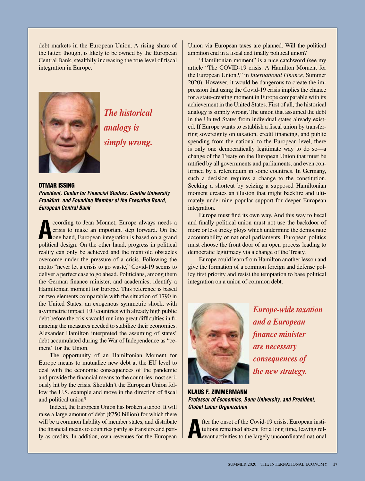debt markets in the European Union. A rising share of the latter, though, is likely to be owned by the European Central Bank, stealthily increasing the true level of fiscal integration in Europe.



*The historical analogy is simply wrong.*

OTMAR ISSING *President, Center for Financial Studies, Goethe University Frankfurt, and Founding Member of the Executive Board, European Central Bank*

**A** crisis to make an important step forward. On the one hand, European integration is based on a grand political design. On the other hand, progress in political ccording to Jean Monnet, Europe always needs a crisis to make an important step forward. On the one hand, European integration is based on a grand reality can only be achieved and the manifold obstacles overcome under the pressure of a crisis. Following the motto "never let a crisis to go waste," Covid-19 seems to deliver a perfect case to go ahead. Politicians, among them the German finance minister, and academics, identify a Hamiltonian moment for Europe. This reference is based on two elements comparable with the situation of 1790 in the United States: an exogenous symmetric shock, with asymmetric impact. EU countries with already high public debt before the crisis would run into great difficulties in financing the measures needed to stabilize their economies. Alexander Hamilton interpreted the assuming of states' debt accumulated during the War of Independence as "cement" for the Union.

The opportunity of an Hamiltonian Moment for Europe means to mutualize new debt at the EU level to deal with the economic consequences of the pandemic and provide the financial means to the countries most seriously hit by the crisis. Shouldn't the European Union follow the U.S. example and move in the direction of fiscal and political union?

Indeed, the European Union has broken a taboo. It will raise a large amount of debt ( $\epsilon$ 750 billion) for which there will be a common liability of member states, and distribute the financial means to countries partly as transfers and partly as credits. In addition, own revenues for the European

Union via European taxes are planned. Will the political ambition end in a fiscal and finally political union?

"Hamiltonian moment" is a nice catchword (see my article "The COVID-19 crisis: A Hamilton Moment for the European Union?," in *International Finance,* Summer 2020). However, it would be dangerous to create the impression that using the Covid-19 crisis implies the chance for a state-creating moment in Europe comparable with its achievement in the United States. First of all, the historical analogy is simply wrong. The union that assumed the debt in the United States from individual states already existed. If Europe wants to establish a fiscal union by transferring sovereignty on taxation, credit financing, and public spending from the national to the European level, there is only one democratically legitimate way to do so—a change of the Treaty on the European Union that must be ratified by all governments and parliaments, and even confirmed by a referendum in some countries. In Germany, such a decision requires a change to the constitution. Seeking a shortcut by seizing a supposed Hamiltonian moment creates an illusion that might backfire and ultimately undermine popular support for deeper European integration.

Europe must find its own way. And this way to fiscal and finally political union must not use the backdoor of more or less tricky ploys which undermine the democratic accountability of national parliaments. European politics must choose the front door of an open process leading to democratic legitimacy via a change of the Treaty.

Europe could learn from Hamilton another lesson and give the formation of a common foreign and defense policy first priority and resist the temptation to base political integration on a union of common debt.



*Europe-wide taxation and a European finance minister are necessary consequences of the new strategy.*

KLAUS F. ZIMMERMANN *Professor of Economics, Bonn University, and President, Global Labor Organization*

**A** fter the onset of the Covid-19 crisis, European institutions remained absent for a long time, leaving relevant activities to the largely uncoordinated national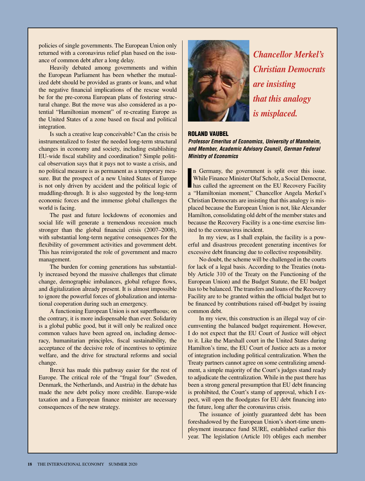policies of single governments. The European Union only returned with a coronavirus relief plan based on the issuance of common debt after a long delay.

Heavily debated among governments and within the European Parliament has been whether the mutualized debt should be provided as grants or loans, and what the negative financial implications of the rescue would be for the pre-corona European plans of fostering structural change. But the move was also considered as a potential "Hamiltonian moment" of re-creating Europe as the United States of a zone based on fiscal and political integration.

Is such a creative leap conceivable? Can the crisis be instrumentalized to foster the needed long-term structural changes in economy and society, including establishing EU-wide fiscal stability and coordination? Simple political observation says that it pays not to waste a crisis, and no political measure is as permanent as a temporary measure. But the prospect of a new United States of Europe is not only driven by accident and the political logic of muddling-through. It is also suggested by the long-term economic forces and the immense global challenges the world is facing.

The past and future lockdowns of economies and social life will generate a tremendous recession much stronger than the global financial crisis (2007–2008), with substantial long-term negative consequences for the flexibility of government activities and government debt. This has reinvigorated the role of government and macro management.

The burden for coming generations has substantially increased beyond the massive challenges that climate change, demographic imbalances, global refugee flows, and digitalization already present. It is almost impossible to ignore the powerful forces of globalization and international cooperation during such an emergency.

A functioning European Union is not superfluous; on the contrary, it is more indispensable than ever. Solidarity is a global public good, but it will only be realized once common values have been agreed on, including democracy, humanitarian principles, fiscal sustainability, the acceptance of the decisive role of incentives to optimize welfare, and the drive for structural reforms and social change.

Brexit has made this pathway easier for the rest of Europe. The critical role of the "frugal four" (Sweden, Denmark, the Netherlands, and Austria) in the debate has made the new debt policy more credible. Europe-wide taxation and a European finance minister are necessary consequences of the new strategy.



*Chancellor Merkel's Christian Democrats are insisting that this analogy is misplaced.*

# ROLAND VAUBEL

*Professor Emeritus of Economics, University of Mannheim, and Member, Academic Advisory Council, German Federal Ministry of Economics*

**I** n Germany, the government is split over this issue. While Finance Minister Olaf Scholz, a Social Democrat, has called the agreement on the EU Recovery Facility a "Hamiltonian moment," Chancellor Angela Merkel's Christian Democrats are insisting that this analogy is misplaced because the European Union is not, like Alexander Hamilton, consolidating old debt of the member states and because the Recovery Facility is a one-time exercise limited to the coronavirus incident.

In my view, as I shall explain, the facility is a powerful and disastrous precedent generating incentives for excessive debt financing due to collective responsibility.

No doubt, the scheme will be challenged in the courts for lack of a legal basis. According to the Treaties (notably Article 310 of the Treaty on the Functioning of the European Union) and the Budget Statute, the EU budget has to be balanced. The transfers and loans of the Recovery Facility are to be granted within the official budget but to be financed by contributions raised off-budget by issuing common debt.

In my view, this construction is an illegal way of circumventing the balanced budget requirement. However, I do not expect that the EU Court of Justice will object to it. Like the Marshall court in the United States during Hamilton's time, the EU Court of Justice acts as a motor of integration including political centralization. When the Treaty partners cannot agree on some centralizing amendment, a simple majority of the Court's judges stand ready to adjudicate the centralization. While in the past there has been a strong general presumption that EU debt financing is prohibited, the Court's stamp of approval, which I expect, will open the floodgates for EU debt financing into the future, long after the coronavirus crisis.

The issuance of jointly guaranteed debt has been foreshadowed by the European Union's short-time unemployment insurance fund SURE, established earlier this year. The legislation (Article 10) obliges each member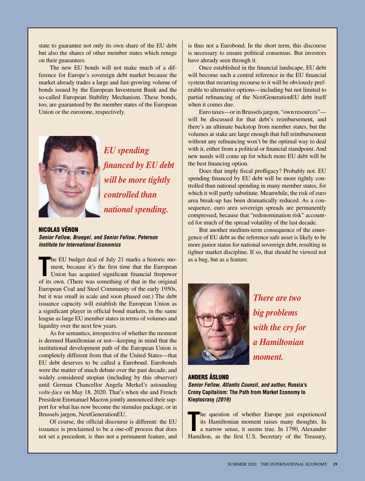state to guarantee not only its own share of the EU debt but also the shares of other member states which renege on their guarantees.

The new EU bonds will not make much of a difference for Europe's sovereign debt market because the market already trades a large and fast-growing volume of bonds issued by the European Investment Bank and the so-called European Stability Mechanism. These bonds, too, are guaranteed by the member states of the European Union or the eurozone, respectively.



*EU spending financed by EU debt will be more tightly controlled than national spending.*

NICOLAS VÉRON *Senior Fellow, Bruegel, and Senior Fellow, Peterson Institute for International Economics*

The EU budget deal of July 21 marks a historic moment, because it's the first time that the European Union has acquired significant financial firepower of its own. (There was something of that in the original he EU budget deal of July 21 marks a historic moment, because it's the first time that the European Union has acquired significant financial firepower European Coal and Steel Community of the early 1950s, but it was small in scale and soon phased out.) The debt issuance capacity will establish the European Union as a significant player in official bond markets, in the same league as large EU member states in terms of volumes and liquidity over the next few years.

As for semantics, irrespective of whether the moment is deemed Hamiltonian or not—keeping in mind that the institutional development path of the European Union is completely different from that of the United States—that EU debt deserves to be called a Eurobond. Eurobonds were the matter of much debate over the past decade, and widely considered utopian (including by this observer) until German Chancellor Angela Merkel's astounding *volte-face* on May 18, 2020. That's when she and French President Emmanuel Macron jointly announced their support for what has now become the stimulus package, or in Brussels jargon, NextGenerationEU.

Of course, the official discourse is different: the EU issuance is proclaimed to be a one-off process that does not set a precedent, is thus not a permanent feature, and

is thus not a Eurobond. In the short term, this discourse is necessary to ensure political consensus. But investors have already seen through it.

Once established in the financial landscape, EU debt will become such a central reference in the EU financial system that recurring recourse to it will be obviously preferable to alternative options—including but not limited to partial refinancing of the NextGenerationEU debt itself when it comes due.

Euro taxes—or in Brussels jargon, "own resources" will be discussed for that debt's reimbursement, and there's an ultimate backstop from member states, but the volumes at stake are large enough that full reimbursement without any refinancing won't be the optimal way to deal with it, either from a political or financial standpoint. And new needs will come up for which more EU debt will be the best financing option.

Does that imply fiscal profligacy? Probably not. EU spending financed by EU debt will be more tightly controlled than national spending in many member states, for which it will partly substitute. Meanwhile, the risk of euro area break-up has been dramatically reduced. As a consequence, euro area sovereign spreads are permanently compressed, because that "redenomination risk" accounted for much of the spread volatility of the last decade.

But another medium-term consequence of the emergence of EU debt as the reference safe asset is likely to be more junior status for national sovereign debt, resulting in tighter market discipline. If so, that should be viewed not as a bug, but as a feature.



*There are two big problems with the cry for a Hamiltonian moment.*

### ANDERS ÅSLUND

*Senior Fellow, Atlantic Council, and author,* **Russia's Crony Capitalism: The Path from Market Economy to Kleptocracy** *(2019)*

The question of whether Europe just experienced its Hamiltonian moment raises many thoughts. In a narrow sense, it seems true. In 1790, Alexander Hamilton, as the first U.S. Secretary of the Treasury, he question of whether Europe just experienced its Hamiltonian moment raises many thoughts. In a narrow sense, it seems true. In 1790, Alexander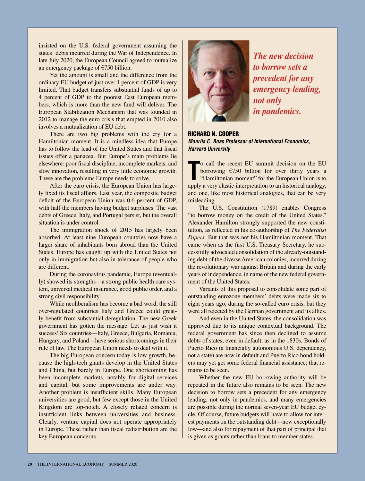insisted on the U.S. federal government assuming the states' debts incurred during the War of Independence. In late July 2020, the European Council agreed to mutualize an emergency package of €750 billion.

Yet the amount is small and the difference from the ordinary EU budget of just over 1 percent of GDP is very limited. That budget transfers substantial funds of up to 4 percent of GDP to the poorest East European members, which is more than the new fund will deliver. The European Stabilization Mechanism that was founded in 2012 to manage the euro crisis that erupted in 2010 also involves a mutualization of EU debt.

There are two big problems with the cry for a Hamiltonian moment. It is a mindless idea that Europe has to follow the lead of the United States and that fiscal issues offer a panacea. But Europe's main problems lie elsewhere: poor fiscal discipline, incomplete markets, and slow innovation, resulting in very little economic growth. These are the problems Europe needs to solve.

After the euro crisis, the European Union has largely fixed its fiscal affairs. Last year, the composite budget deficit of the European Union was 0.6 percent of GDP, with half the members having budget surpluses. The vast debts of Greece, Italy, and Portugal persist, but the overall situation is under control.

The immigration shock of 2015 has largely been absorbed. At least nine European countries now have a larger share of inhabitants born abroad than the United States. Europe has caught up with the United States not only in immigration but also in tolerance of people who are different.

During the coronavirus pandemic, Europe (eventually) showed its strengths—a strong public health care system, universal medical insurance, good public order, and a strong civil responsibility.

While neoliberalism has become a bad word, the still over-regulated countries Italy and Greece could greatly benefit from substantial deregulation. The new Greek government has gotten the message. Let us just wish it success! Six countries—Italy, Greece, Bulgaria, Romania, Hungary, and Poland—have serious shortcomings in their rule of law. The European Union needs to deal with it.

The big European concern today is low growth, because the high-tech giants develop in the United States and China, but barely in Europe. One shortcoming has been incomplete markets, notably for digital services and capital, but some improvements are under way. Another problem is insufficient skills. Many European universities are good, but few except those in the United Kingdom are top-notch. A closely related concern is insufficient links between universities and business. Clearly, venture capital does not operate appropriately in Europe. These rather than fiscal redistribution are the key European concerns.



*The new decision to borrow sets a precedent for any emergency lending, not only in pandemics.*

RICHARD N. COOPER *Maurits C. Boas Professor of International Economics, Harvard University*

**The CO** call the recent EU summit decision on the EU borrowing  $\epsilon$ 750 billion for over thirty years a "Hamiltonian moment" for the European Union is to apply a very elastic interpretation to an historical analogy, o call the recent EU summit decision on the EU borrowing €750 billion for over thirty years a "Hamiltonian moment" for the European Union is to and one, like most historical analogies, that can be very misleading.

The U.S. Constitution (1789) enables Congress "to borrow money on the credit of the United States." Alexander Hamilton strongly supported the new constitution, as reflected in his co-authorship of *The Federalist Papers.* But that was not his Hamiltonian moment. That came when as the first U.S. Treasury Secretary, he successfully advocated consolidation of the already-outstanding debt of the diverse American colonies, incurred during the revolutionary war against Britain and during the early years of independence, in name of the new federal government of the United States.

Variants of this proposal to consolidate some part of outstanding eurozone members' debts were made six to eight years ago, during the so-called euro crisis, but they were all rejected by the German government and its allies.

And even in the United States, the consolidation was approved due to its unique contextual background. The federal government has since then declined to assume debts of states, even in default, as in the 1830s. Bonds of Puerto Rico (a financially autonomous U.S. dependency, not a state) are now in default and Puerto Rico bond holders may yet get some federal financial assistance; that remains to be seen.

Whether the new EU borrowing authority will be repeated in the future also remains to be seen. The new decision to borrow sets a precedent for any emergency lending, not only in pandemics, and many emergencies are possible during the normal seven-year EU budget cycle. Of course, future budgets will have to allow for interest payments on the outstanding debt—now exceptionally low—and also for repayment of that part of principal that is given as grants rather than loans to member states.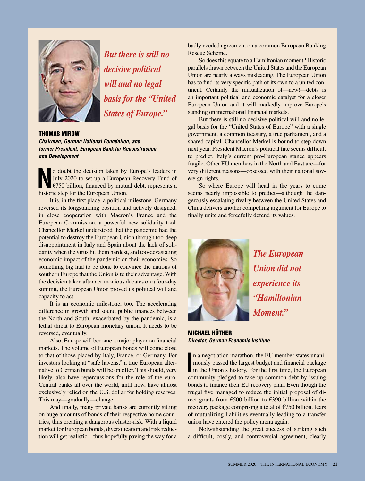

*But there is still no decisive political will and no legal basis for the "United States of Europe."*

THOMAS MIROW *Chairman, German National Foundation, and former President, European Bank for Reconstruction and Development*

**N**o doubt the decision taken by Europe's leaders in July 2020 to set up a European Recovery Fund of €750 billion, financed by mutual debt, represents a historic state Duranced by This Duranced by The Union July 2020 to set up a European Recovery Fund of €750 billion, financed by mutual debt, represents a historic step for the European Union.

It is, in the first place, a political milestone. Germany reversed its longstanding position and actively designed, in close cooperation with Macron's France and the European Commission, a powerful new solidarity tool. Chancellor Merkel understood that the pandemic had the potential to destroy the European Union through too-deep disappointment in Italy and Spain about the lack of solidarity when the virus hit them hardest, and too-devastating economic impact of the pandemic on their economies. So something big had to be done to convince the nations of southern Europe that the Union is to their advantage. With the decision taken after acrimonious debates on a four-day summit, the European Union proved its political will and capacity to act.

It is an economic milestone, too. The accelerating difference in growth and sound public finances between the North and South, exacerbated by the pandemic, is a lethal threat to European monetary union. It needs to be reversed, eventually.

Also, Europe will become a major player on financial markets. The volume of European bonds will come close to that of those placed by Italy, France, or Germany. For investors looking at "safe havens," a true European alternative to German bunds will be on offer. This should, very likely, also have repercussions for the role of the euro. Central banks all over the world, until now, have almost exclusively relied on the U.S. dollar for holding reserves. This may—gradually—change.

And finally, many private banks are currently sitting on huge amounts of bonds of their respective home countries, thus creating a dangerous cluster-risk. With a liquid market for European bonds, diversification and risk reduction will get realistic—thus hopefully paving the way for a

badly needed agreement on a common European Banking Rescue Scheme.

So does this equate to a Hamiltonian moment? Historic parallels drawn between the United States and the European Union are nearly always misleading. The European Union has to find its very specific path of its own to a united continent. Certainly the mutualization of—new!—debts is an important political and economic catalyst for a closer European Union and it will markedly improve Europe's standing on international financial markets.

But there is still no decisive political will and no legal basis for the "United States of Europe" with a single government, a common treasury, a true parliament, and a shared capital. Chancellor Merkel is bound to step down next year. President Macron's political fate seems difficult to predict. Italy's current pro-European stance appears fragile. Other EU members in the North and East are—for very different reasons—obsessed with their national sovereign rights.

So where Europe will head in the years to come seems nearly impossible to predict—although the dangerously escalating rivalry between the United States and China delivers another compelling argument for Europe to finally unite and forcefully defend its values.



*The European Union did not experience its "Hamiltonian Moment."*

MICHAEL HÜTHER *Director, German Economic Institute*

In a negotiation marathon, the EU member states unani-<br>
mously passed the largest budget and financial package<br>
in the Union's history. For the first time, the European<br>
community placed and the union of the bulgaring n a negotiation marathon, the EU member states unanimously passed the largest budget and financial package community pledged to take up common debt by issuing bonds to finance their EU recovery plan. Even though the frugal five managed to reduce the initial proposal of direct grants from €500 billion to €390 billion within the recovery package comprising a total of €750 billion, fears of mutualizing liabilities eventually leading to a transfer union have entered the policy arena again.

Notwithstanding the great success of striking such a difficult, costly, and controversial agreement, clearly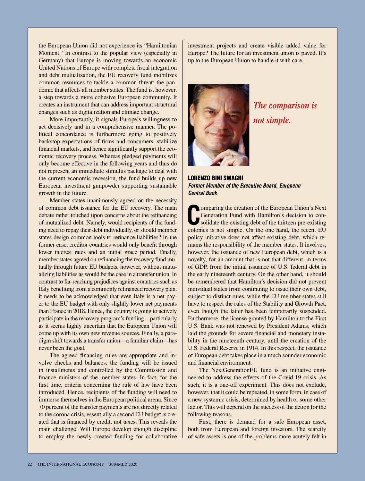the European Union did not experience its "Hamiltonian Moment." In contrast to the popular view (especially in Germany) that Europe is moving towards an economic United Nations of Europe with complete fiscal integration and debt mutualization, the EU recovery fund mobilizes common resources to tackle a common threat: the pandemic that affects all member states. The fund is, however, a step towards a more cohesive European community. It creates an instrument that can address important structural changes such as digitalization and climate change.

More importantly, it signals Europe's willingness to act decisively and in a comprehensive manner. The political concordance is furthermore going to positively backstop expectations of firms and consumers, stabilize financial markets, and hence significantly support the economic recovery process. Whereas pledged payments will only become effective in the following years and thus do not represent an immediate stimulus package to deal with the current economic recession, the fund builds up new European investment gunpowder supporting sustainable growth in the future.

Member states unanimously agreed on the necessity of common debt issuance for the EU recovery. The main debate rather touched upon concerns about the refinancing of mutualized debt. Namely, would recipients of the funding need to repay their debt individually, or should member states design common tools to refinance liabilities? In the former case, creditor countries would only benefit through lower interest rates and an initial grace period. Finally, member states agreed on refinancing the recovery fund mutually through future EU budgets, however, without mutualizing liabilities as would be the case in a transfer union. In contrast to far-reaching prejudices against countries such as Italy benefiting from a commonly refinanced recovery plan, it needs to be acknowledged that even Italy is a net payer to the EU budget with only slightly lower net payments than France in 2018. Hence, the country is going to actively participate in the recovery program's funding—particularly as it seems highly uncertain that the European Union will come up with its own new revenue sources. Finally, a paradigm shift towards a transfer union—a familiar claim—has never been the goal.

The agreed financing rules are appropriate and involve checks and balances: the funding will be issued in installments and controlled by the Commission and finance ministers of the member states. In fact, for the first time, criteria concerning the rule of law have been introduced. Hence, recipients of the funding will need to immerse themselves in the European political arena. Since 70 percent of the transfer payments are not directly related to the corona crisis, essentially a second EU budget is created that is financed by credit, not taxes. This reveals the main challenge: Will Europe develop enough discipline to employ the newly created funding for collaborative investment projects and create visible added value for Europe? The future for an investment union is paved. It's up to the European Union to handle it with care.



*The comparison is not simple.*

LORENZO BINI SMAGHI *Former Member of the Executive Board, European Central Bank*

**Comparing the creation of the European Union's Next**<br> **Confidence Generation Fund with Hamilton's decision to con-**<br>
solidate the existing debt of the thirteen pre-existing<br>
colonies is not simple. On the one hand, the re omparing the creation of the European Union's Next Generation Fund with Hamilton's decision to consolidate the existing debt of the thirteen pre-existing policy initiative does not affect existing debt, which remains the responsibility of the member states. It involves, however, the issuance of new European debt, which is a novelty, for an amount that is not that different, in terms of GDP, from the initial issuance of U.S. federal debt in the early nineteenth century. On the other hand, it should be remembered that Hamilton's decision did not prevent individual states from continuing to issue their own debt, subject to distinct rules, while the EU member states still have to respect the rules of the Stability and Growth Pact, even though the latter has been temporarily suspended. Furthermore, the license granted by Hamilton to the First U.S. Bank was not renewed by President Adams, which laid the grounds for severe financial and monetary instability in the nineteenth century, until the creation of the U.S. Federal Reserve in 1914. In this respect, the issuance of European debt takes place in a much sounder economic and financial environment.

The NextGenerationEU fund is an initiative engineered to address the effects of the Covid-19 crisis. As such, it is a one-off experiment. This does not exclude, however, that it could be repeated, in some form, in case of a new systemic crisis, determined by health or some other factor. This will depend on the success of the action for the following reasons.

First, there is demand for a safe European asset, both from European and foreign investors. The scarcity of safe assets is one of the problems more acutely felt in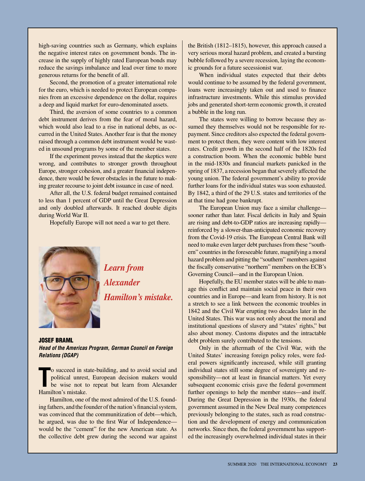high-saving countries such as Germany, which explains the negative interest rates on government bonds. The increase in the supply of highly rated European bonds may reduce the savings imbalance and lead over time to more generous returns for the benefit of all.

Second, the promotion of a greater international role for the euro, which is needed to protect European companies from an excessive dependence on the dollar, requires a deep and liquid market for euro-denominated assets.

Third, the aversion of some countries to a common debt instrument derives from the fear of moral hazard, which would also lead to a rise in national debts, as occurred in the United States. Another fear is that the money raised through a common debt instrument would be wasted in unsound programs by some of the member states.

If the experiment proves instead that the skeptics were wrong, and contributes to stronger growth throughout Europe, stronger cohesion, and a greater financial independence, there would be fewer obstacles in the future to making greater recourse to joint debt issuance in case of need.

After all, the U.S. federal budget remained contained to less than 1 percent of GDP until the Great Depression and only doubled afterwards. It reached double digits during World War II.

Hopefully Europe will not need a war to get there.



*Learn from Alexander Hamilton's mistake.* 

JOSEF BRAML *Head of the Americas Program, German Council on Foreign Relations (DGAP)*

**The Succeed in standing to the vise not to Hamilton's mistake.** o succeed in state-building, and to avoid social and political unrest, European decision makers would be wise not to repeat but learn from Alexander

Hamilton, one of the most admired of the U.S. founding fathers, and the founder of the nation's financial system, was convinced that the communitization of debt—which, he argued, was due to the first War of Independence would be the "cement" for the new American state. As the collective debt grew during the second war against

the British (1812–1815), however, this approach caused a very serious moral hazard problem, and created a bursting bubble followed by a severe recession, laying the economic grounds for a future secessionist war.

When individual states expected that their debts would continue to be assumed by the federal government, loans were increasingly taken out and used to finance infrastructure investments. While this stimulus provided jobs and generated short-term economic growth, it created a bubble in the long run.

The states were willing to borrow because they assumed they themselves would not be responsible for repayment. Since creditors also expected the federal government to protect them, they were content with low interest rates. Credit growth in the second half of the 1820s fed a construction boom. When the economic bubble burst in the mid-1830s and financial markets panicked in the spring of 1837, a recession began that severely affected the young union. The federal government's ability to provide further loans for the individual states was soon exhausted. By 1842, a third of the 29 U.S. states and territories of the at that time had gone bankrupt.

The European Union may face a similar challenge sooner rather than later. Fiscal deficits in Italy and Spain are rising and debt-to-GDP ratios are increasing rapidly reinforced by a slower-than-anticipated economic recovery from the Covid-19 crisis. The European Central Bank will need to make even larger debt purchases from these "southern" countries in the foreseeable future, magnifying a moral hazard problem and pitting the "southern" members against the fiscally conservative "northern" members on the ECB's Governing Council—and in the European Union.

Hopefully, the EU member states will be able to manage this conflict and maintain social peace in their own countries and in Europe—and learn from history. It is not a stretch to see a link between the economic troubles in 1842 and the Civil War erupting two decades later in the United States. This war was not only about the moral and institutional questions of slavery and "states' rights," but also about money. Customs disputes and the intractable debt problem surely contributed to the tensions.

Only in the aftermath of the Civil War, with the United States' increasing foreign policy roles, were federal powers significantly increased, while still granting individual states still some degree of sovereignty and responsibility—not at least in financial matters. Yet every subsequent economic crisis gave the federal government further openings to help the member states—and itself. During the Great Depression in the 1930s, the federal government assumed in the New Deal many competences previously belonging to the states, such as road construction and the development of energy and communication networks. Since then, the federal government has supported the increasingly overwhelmed individual states in their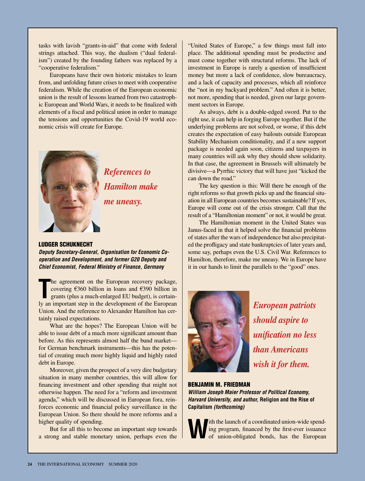tasks with lavish "grants-in-aid" that come with federal strings attached. This way, the dualism ("dual federalism") created by the founding fathers was replaced by a "cooperative federalism."

Europeans have their own historic mistakes to learn from, and unfolding future crises to meet with cooperative federalism. While the creation of the European economic union is the result of lessons learned from two catastrophic European and World Wars, it needs to be finalized with elements of a fiscal and political union in order to manage the tensions and opportunities the Covid-19 world economic crisis will create for Europe.



*References to Hamilton make me uneasy.*

#### LUDGER SCHUKNECHT

*Deputy Secretary-General, Organisation for Economic Cooperation and Development, and former G20 Deputy and Chief Economist, Federal Ministry of Finance, Germany*

The agreement on the European recovery package, covering  $\epsilon$ 360 billion in loans and  $\epsilon$ 390 billion in grants (plus a much-enlarged EU budget), is certainly an important step in the development of the European he agreement on the European recovery package, covering €360 billion in loans and €390 billion in grants (plus a much-enlarged EU budget), is certain-Union. And the reference to Alexander Hamilton has certainly raised expectations.

What are the hopes? The European Union will be able to issue debt of a much more significant amount than before. As this represents almost half the bund market for German benchmark instruments—this has the potential of creating much more highly liquid and highly rated debt in Europe.

Moreover, given the prospect of a very dire budgetary situation in many member countries, this will allow for financing investment and other spending that might not otherwise happen. The need for a "reform and investment agenda," which will be discussed in European fora, reinforces economic and financial policy surveillance in the European Union. So there should be more reforms and a higher quality of spending.

But for all this to become an important step towards a strong and stable monetary union, perhaps even the

"United States of Europe," a few things must fall into place. The additional spending must be productive and must come together with structural reforms. The lack of investment in Europe is rarely a question of insufficient money but more a lack of confidence, slow bureaucracy, and a lack of capacity and processes, which all reinforce the "not in my backyard problem." And often it is better, not more, spending that is needed, given our large government sectors in Europe.

As always, debt is a double-edged sword. Put to the right use, it can help in forging Europe together. But if the underlying problems are not solved, or worse, if this debt creates the expectation of easy bailouts outside European Stability Mechanism conditionality, and if a new support package is needed again soon, citizens and taxpayers in many countries will ask why they should show solidarity. In that case, the agreement in Brussels will ultimately be divisive—a Pyrrhic victory that will have just "kicked the can down the road."

The key question is this: Will there be enough of the right reforms so that growth picks up and the financial situation in all European countries becomes sustainable? If yes, Europe will come out of the crisis stronger. Call that the result of a "Hamiltonian moment" or not, it would be great.

The Hamiltonian moment in the United States was Janus-faced in that it helped solve the financial problems of states after the wars of independence but also precipitated the profligacy and state bankruptcies of later years and, some say, perhaps even the U.S. Civil War. References to Hamilton, therefore, make me uneasy. We in Europe have it in our hands to limit the parallels to the "good" ones.



*European patriots should aspire to unification no less than Americans wish it for them.*

#### BENJAMIN M. FRIEDMAN

*William Joseph Maier Professor of Political Economy, Harvard University, and author,* **Religion and the Rise of Capitalism** *(forthcoming)*

ith the launch of a coordinated union-wide spending program, financed by the first-ever issuance of union-obligated bonds, has the European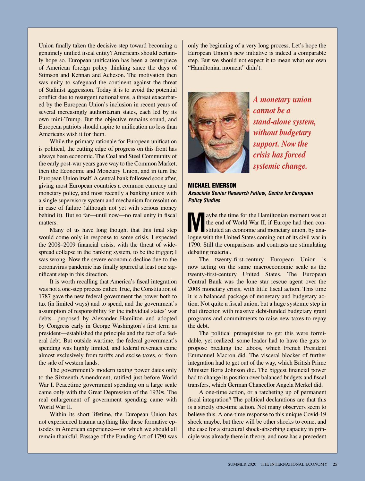Union finally taken the decisive step toward becoming a genuinely unified fiscal entity? Americans should certainly hope so. European unification has been a centerpiece of American foreign policy thinking since the days of Stimson and Kennan and Acheson. The motivation then was unity to safeguard the continent against the threat of Stalinist aggression. Today it is to avoid the potential conflict due to resurgent nationalisms, a threat exacerbated by the European Union's inclusion in recent years of several increasingly authoritarian states, each led by its own mini-Trump. But the objective remains sound, and European patriots should aspire to unification no less than Americans wish it for them.

While the primary rationale for European unification is political, the cutting edge of progress on this front has always been economic. The Coal and Steel Community of the early post-war years gave way to the Common Market, then the Economic and Monetary Union, and in turn the European Union itself. A central bank followed soon after, giving most European countries a common currency and monetary policy, and most recently a banking union with a single supervisory system and mechanism for resolution in case of failure (although not yet with serious money behind it). But so far—until now—no real unity in fiscal matters.

Many of us have long thought that this final step would come only in response to some crisis. I expected the 2008–2009 financial crisis, with the threat of widespread collapse in the banking system, to be the trigger; I was wrong. Now the severe economic decline due to the coronavirus pandemic has finally spurred at least one significant step in this direction.

It is worth recalling that America's fiscal integration was not a one-step process either. True, the Constitution of 1787 gave the new federal government the power both to tax (in limited ways) and to spend, and the government's assumption of responsibility for the individual states' war debts—proposed by Alexander Hamilton and adopted by Congress early in George Washington's first term as president—established the principle and the fact of a federal debt. But outside wartime, the federal government's spending was highly limited, and federal revenues came almost exclusively from tariffs and excise taxes, or from the sale of western lands.

The government's modern taxing power dates only to the Sixteenth Amendment, ratified just before World War I. Peacetime government spending on a large scale came only with the Great Depression of the 1930s. The real enlargement of government spending came with World War II.

Within its short lifetime, the European Union has not experienced trauma anything like these formative episodes in American experience—for which we should all remain thankful. Passage of the Funding Act of 1790 was

only the beginning of a very long process. Let's hope the European Union's new initiative is indeed a comparable step. But we should not expect it to mean what our own "Hamiltonian moment" didn't.



*A monetary union cannot be a stand-alone system, without budgetary support. Now the crisis has forced systemic change.*

MICHAEL EMERSON *Associate Senior Research Fellow, Centre for European Policy Studies*

aybe the time for the Hamiltonian moment was at the end of World War II, if Europe had then constituted an economic and monetary union, by analogue with the United States coming out of its civil war in 1790. Still the comparisons and contrasts are stimulating debating material.

The twenty-first-century European Union is now acting on the same macroeconomic scale as the twenty-first-century United States. The European Central Bank was the lone star rescue agent over the 2008 monetary crisis, with little fiscal action. This time it is a balanced package of monetary and budgetary action. Not quite a fiscal union, but a huge systemic step in that direction with massive debt-funded budgetary grant programs and commitments to raise new taxes to repay the debt.

The political prerequisites to get this were formidable, yet realized: some leader had to have the guts to propose breaking the taboos, which French President Emmanuel Macron did. The visceral blocker of further integration had to get out of the way, which British Prime Minister Boris Johnson did. The biggest financial power had to change its position over balanced budgets and fiscal transfers, which German Chancellor Angela Merkel did.

A one-time action, or a ratcheting up of permanent fiscal integration? The political declarations are that this is a strictly one-time action. Not many observers seem to believe this. A one-time response to this unique Covid-19 shock maybe, but there will be other shocks to come, and the case for a structural shock-absorbing capacity in principle was already there in theory, and now has a precedent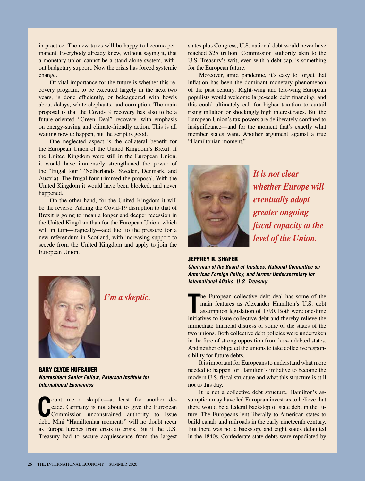in practice. The new taxes will be happy to become permanent. Everybody already knew, without saying it, that a monetary union cannot be a stand-alone system, without budgetary support. Now the crisis has forced systemic change.

Of vital importance for the future is whether this recovery program, to be executed largely in the next two years, is done efficiently, or beleaguered with howls about delays, white elephants, and corruption. The main proposal is that the Covid-19 recovery has also to be a future-oriented "Green Deal" recovery, with emphasis on energy-saving and climate-friendly action. This is all waiting now to happen, but the script is good.

One neglected aspect is the collateral benefit for the European Union of the United Kingdom's Brexit. If the United Kingdom were still in the European Union, it would have immensely strengthened the power of the "frugal four" (Netherlands, Sweden, Denmark, and Austria). The frugal four trimmed the proposal. With the United Kingdom it would have been blocked, and never happened.

On the other hand, for the United Kingdom it will be the reverse. Adding the Covid-19 disruption to that of Brexit is going to mean a longer and deeper recession in the United Kingdom than for the European Union, which will in turn—tragically—add fuel to the pressure for a new referendum in Scotland, with increasing support to secede from the United Kingdom and apply to join the European Union.



Moreover, amid pandemic, it's easy to forget that inflation has been the dominant monetary phenomenon of the past century. Right-wing and left-wing European populists would welcome large-scale debt financing, and this could ultimately call for higher taxation to curtail rising inflation or shockingly high interest rates. But the European Union's tax powers are deliberately confined to insignificance—and for the moment that's exactly what member states want. Another argument against a true "Hamiltonian moment."



*It is not clear whether Europe will eventually adopt greater ongoing fiscal capacity at the level of the Union.*



*Chairman of the Board of Trustees, National Committee on American Foreign Policy, and former Undersecretary for International Affairs, U.S. Treasury*

**The European collective debt deal has some of the main features as Alexander Hamilton's U.S. debt assumption legislation of 1790. Both were one-time initiatives to issue collective debt and thereby relieve the** he European collective debt deal has some of the main features as Alexander Hamilton's U.S. debt assumption legislation of 1790. Both were one-time immediate financial distress of some of the states of the two unions. Both collective debt policies were undertaken in the face of strong opposition from less-indebted states. And neither obligated the unions to take collective responsibility for future debts.

It is important for Europeans to understand what more needed to happen for Hamilton's initiative to become the modern U.S. fiscal structure and what this structure is still not to this day.

It is not a collective debt structure. Hamilton's assumption may have led European investors to believe that there would be a federal backstop of state debt in the future. The Europeans lent liberally to American states to build canals and railroads in the early nineteenth century. But there was not a backstop, and eight states defaulted in the 1840s. Confederate state debts were repudiated by



*I'm a skeptic.*

GARY CLYDE HUFBAUER *Nonresident Senior Fellow, Peterson Institute for International Economics*

**C** ount me a skeptic—at least for another decade. Germany is not about to give the European Commission unconstrained authority to issue debt. Mini "Hamiltonian moments" will no doubt recur as Europe lurches from crisis to crisis. But if the U.S. Treasury had to secure acquiescence from the largest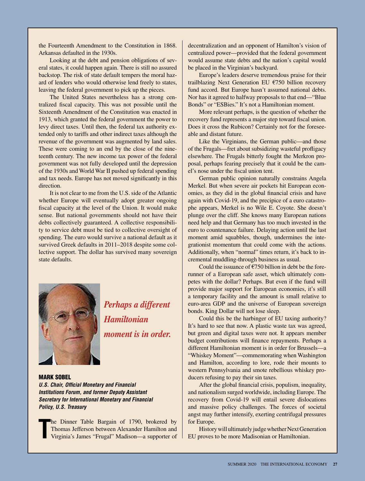the Fourteenth Amendment to the Constitution in 1868. Arkansas defaulted in the 1930s.

Looking at the debt and pension obligations of several states, it could happen again. There is still no assured backstop. The risk of state default tempers the moral hazard of lenders who would otherwise lend freely to states, leaving the federal government to pick up the pieces.

The United States nevertheless has a strong centralized fiscal capacity. This was not possible until the Sixteenth Amendment of the Constitution was enacted in 1913, which granted the federal government the power to levy direct taxes. Until then, the federal tax authority extended only to tariffs and other indirect taxes although the revenue of the government was augmented by land sales. These were coming to an end by the close of the nineteenth century. The new income tax power of the federal government was not fully developed until the depression of the 1930s and World War II pushed up federal spending and tax needs. Europe has not moved significantly in this direction.

It is not clear to me from the U.S. side of the Atlantic whether Europe will eventually adopt greater ongoing fiscal capacity at the level of the Union. It would make sense. But national governments should not have their debts collectively guaranteed. A collective responsibility to service debt must be tied to collective oversight of spending. The euro would survive a national default as it survived Greek defaults in 2011–2018 despite some collective support. The dollar has survived many sovereign state defaults.



*Perhaps a different Hamiltonian moment is in order.*

# MARK SOBEL

*U.S. Chair, Official Monetary and Financial Institutions Forum, and former Deputy Assistant Secretary for International Monetary and Financial Policy, U.S. Treasury*

**T** he Dinner Table Bargain of 1790, brokered by Thomas Jefferson between Alexander Hamilton and Virginia's James "Frugal" Madison—a supporter of

decentralization and an opponent of Hamilton's vision of centralized power—provided that the federal government would assume state debts and the nation's capital would be placed in the Virginian's backyard.

Europe's leaders deserve tremendous praise for their trailblazing Next Generation EU €750 billion recovery fund accord. But Europe hasn't assumed national debts. Nor has it agreed to halfway proposals to that end—"Blue Bonds" or "ESBies." It's not a Hamiltonian moment.

More relevant perhaps, is the question of whether the recovery fund represents a major step toward fiscal union. Does it cross the Rubicon? Certainly not for the foreseeable and distant future.

Like the Virginians, the German public—and those of the Frugals—fret about subsidizing wasteful profligacy elsewhere. The Frugals bitterly fought the Merkron proposal, perhaps fearing precisely that it could be the camel's nose under the fiscal union tent.

German public opinion naturally constrains Angela Merkel. But when severe air pockets hit European economies, as they did in the global financial crisis and have again with Covid-19, and the precipice of a euro catastrophe appears, Merkel is no Wile E. Coyote. She doesn't plunge over the cliff. She knows many European nations need help and that Germany has too much invested in the euro to countenance failure. Delaying action until the last moment amid squabbles, though, undermines the integrationist momentum that could come with the actions. Additionally, when "normal" times return, it's back to incremental muddling-through business as usual.

Could the issuance of  $\epsilon$ 750 billion in debt be the forerunner of a European safe asset, which ultimately competes with the dollar? Perhaps. But even if the fund will provide major support for European economies, it's still a temporary facility and the amount is small relative to euro-area GDP and the universe of European sovereign bonds. King Dollar will not lose sleep.

Could this be the harbinger of EU taxing authority? It's hard to see that now. A plastic waste tax was agreed, but green and digital taxes were not. It appears member budget contributions will finance repayments. Perhaps a different Hamiltonian moment is in order for Brussels—a "Whiskey Moment"—commemorating when Washington and Hamilton, according to lore, rode their mounts to western Pennsylvania and smote rebellious whiskey producers refusing to pay their sin taxes.

After the global financial crisis, populism, inequality, and nationalism surged worldwide, including Europe. The recovery from Covid-19 will entail severe dislocations and massive policy challenges. The forces of societal angst may further intensify, exerting centrifugal pressures for Europe.

History will ultimately judge whether Next Generation EU proves to be more Madisonian or Hamiltonian.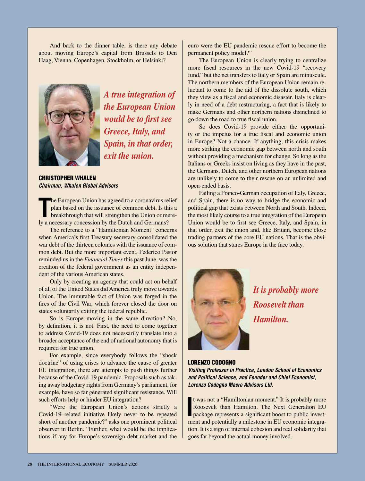And back to the dinner table, is there any debate about moving Europe's capital from Brussels to Den Haag, Vienna, Copenhagen, Stockholm, or Helsinki?



*A true integration of the European Union would be to first see Greece, Italy, and Spain, in that order, exit the union.*

CHRISTOPHER WHALEN *Chairman, Whalen Global Advisors*

The European Union has agreed to a coronavirus rel plan based on the issuance of common debt. Is this breakthrough that will strengthen the Union or me ly a necessary concession by the Dutch and Germans? he European Union has agreed to a coronavirus relief plan based on the issuance of common debt. Is this a breakthrough that will strengthen the Union or mere-

The reference to a "Hamiltonian Moment" concerns when America's first Treasury secretary consolidated the war debt of the thirteen colonies with the issuance of common debt. But the more important event, Federico Pastor reminded us in the *Financial Times* this past June, was the creation of the federal government as an entity independent of the various American states.

Only by creating an agency that could act on behalf of all of the United States did America truly move towards Union. The immutable fact of Union was forged in the fires of the Civil War, which forever closed the door on states voluntarily exiting the federal republic.

So is Europe moving in the same direction? No, by definition, it is not. First, the need to come together to address Covid-19 does not necessarily translate into a broader acceptance of the end of national autonomy that is required for true union.

For example, since everybody follows the "shock doctrine" of using crises to advance the cause of greater EU integration, there are attempts to push things further because of the Covid-19 pandemic. Proposals such as taking away budgetary rights from Germany's parliament, for example, have so far generated significant resistance. Will such efforts help or hinder EU integration?

"Were the European Union's actions strictly a Covid-19–related initiative likely never to be repeated short of another pandemic?" asks one prominent political observer in Berlin. "Further, what would be the implications if any for Europe's sovereign debt market and the

euro were the EU pandemic rescue effort to become the permanent policy model?"

The European Union is clearly trying to centralize more fiscal resources in the new Covid-19 "recovery fund," but the net transfers to Italy or Spain are minuscule. The northern members of the European Union remain reluctant to come to the aid of the dissolute south, which they view as a fiscal and economic disaster. Italy is clearly in need of a debt restructuring, a fact that is likely to make Germans and other northern nations disinclined to go down the road to true fiscal union.

So does Covid-19 provide either the opportunity or the impetus for a true fiscal and economic union in Europe? Not a chance. If anything, this crisis makes more striking the economic gap between north and south without providing a mechanism for change. So long as the Italians or Greeks insist on living as they have in the past, the Germans, Dutch, and other northern European nations are unlikely to come to their rescue on an unlimited and open-ended basis.

Failing a Franco-German occupation of Italy, Greece, and Spain, there is no way to bridge the economic and political gap that exists between North and South. Indeed, the most likely course to a true integration of the European Union would be to first see Greece, Italy, and Spain, in that order, exit the union and, like Britain, become close trading partners of the core EU nations. That is the obvious solution that stares Europe in the face today.



*It is probably more Roosevelt than Hamilton.*

#### LORENZO CODOGNO

*Visiting Professor in Practice, London School of Economics and Political Science, and Founder and Chief Economist, Lorenzo Codogno Macro Advisors Ltd.*

**I** t was not a "Hamiltonian moment." It is probably more Roosevelt than Hamilton. The Next Generation EU package represents a significant boost to public investment and potentially a milestone in EU economic integration. It is a sign of internal cohesion and real solidarity that goes far beyond the actual money involved.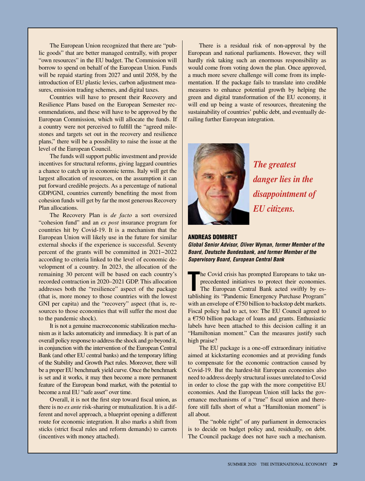The European Union recognized that there are "public goods" that are better managed centrally, with proper "own resources" in the EU budget. The Commission will borrow to spend on behalf of the European Union. Funds will be repaid starting from 2027 and until 2058, by the introduction of EU plastic levies, carbon adjustment measures, emission trading schemes, and digital taxes.

Countries will have to present their Recovery and Resilience Plans based on the European Semester recommendations, and these will have to be approved by the European Commission, which will allocate the funds. If a country were not perceived to fulfill the "agreed milestones and targets set out in the recovery and resilience plans," there will be a possibility to raise the issue at the level of the European Council.

The funds will support public investment and provide incentives for structural reforms, giving laggard countries a chance to catch up in economic terms. Italy will get the largest allocation of resources, on the assumption it can put forward credible projects. As a percentage of national GDP/GNI, countries currently benefiting the most from cohesion funds will get by far the most generous Recovery Plan allocations.

The Recovery Plan is *de facto* a sort oversized "cohesion fund" and an *ex post* insurance program for countries hit by Covid-19. It is a mechanism that the European Union will likely use in the future for similar external shocks if the experience is successful. Seventy percent of the grants will be committed in 2021−2022 according to criteria linked to the level of economic development of a country. In 2023, the allocation of the remaining 30 percent will be based on each country's recorded contraction in 2020–2021 GDP. This allocation addresses both the "resilience" aspect of the package (that is, more money to those countries with the lowest GNI per capita) and the "recovery" aspect (that is, resources to those economies that will suffer the most due to the pandemic shock).

It is not a genuine macroeconomic stabilization mechanism as it lacks automaticity and immediacy. It is part of an overall policy response to address the shock and go beyond it, in conjunction with the intervention of the European Central Bank (and other EU central banks) and the temporary lifting of the Stability and Growth Pact rules. Moreover, there will be a proper EU benchmark yield curve. Once the benchmark is set and it works, it may then become a more permanent feature of the European bond market, with the potential to become a real EU "safe asset" over time.

Overall, it is not the first step toward fiscal union, as there is no *ex ante* risk-sharing or mutualization. It is a different and novel approach, a blueprint opening a different route for economic integration. It also marks a shift from sticks (strict fiscal rules and reform demands) to carrots (incentives with money attached).

There is a residual risk of non-approval by the European and national parliaments. However, they will hardly risk taking such an enormous responsibility as would come from voting down the plan. Once approved, a much more severe challenge will come from its implementation. If the package fails to translate into credible measures to enhance potential growth by helping the green and digital transformation of the EU economy, it will end up being a waste of resources, threatening the sustainability of countries' public debt, and eventually derailing further European integration.



*The greatest danger lies in the disappointment of EU citizens.*

#### ANDREAS DOMBRET

*Global Senior Advisor, Oliver Wyman, former Member of the Board, Deutsche Bundesbank, and former Member of the Supervisory Board, European Central Bank*

The Covid crisis has prompted Europeans to take unprecedented initiatives to protect their economies.<br>The European Central Bank acted swiftly by establishing its "Pandemic Emergency Purchase Program" he Covid crisis has prompted Europeans to take unprecedented initiatives to protect their economies. The European Central Bank acted swiftly by eswith an envelope of €750 billion to backstop debt markets. Fiscal policy had to act, too: The EU Council agreed to a €750 billion package of loans and grants. Enthusiastic labels have been attached to this decision calling it an "Hamiltonian moment." Can the measures justify such high praise?

The EU package is a one-off extraordinary initiative aimed at kickstarting economies and at providing funds to compensate for the economic contraction caused by Covid-19. But the hardest-hit European economies also need to address deeply structural issues unrelated to Covid in order to close the gap with the more competitive EU economies. And the European Union still lacks the governance mechanisms of a "true" fiscal union and therefore still falls short of what a "Hamiltonian moment" is all about.

The "noble right" of any parliament in democracies is to decide on budget policy and, residually, on debt. The Council package does not have such a mechanism.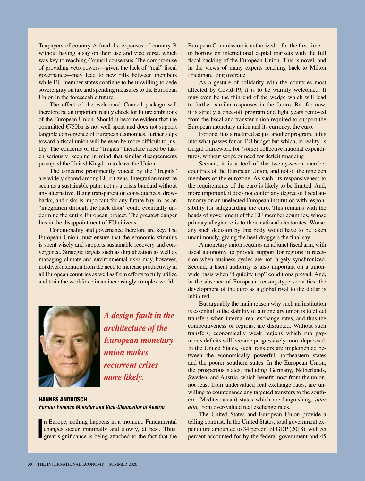Taxpayers of country A fund the expenses of country B without having a say on their use and vice versa, which was key to reaching Council consensus. The compromise of providing veto powers—given the lack of "real" fiscal governance—may lead to new rifts between members while EU member states continue to be unwilling to cede sovereignty on tax and spending measures to the European Union in the foreseeable future.

The effect of the welcomed Council package will therefore be an important reality check for future ambitions of the European Union. Should it become evident that the committed €750bn is not well spent and does not support tangible convergence of European economies, further steps toward a fiscal union will be even be more difficult to justify. The concerns of the "frugals" therefore need be taken seriously, keeping in mind that similar disagreements prompted the United Kingdom to leave the Union.

The concerns prominently voiced by the "frugals" are widely shared among EU citizens. Integration must be seen as a sustainable path, not as a crisis bandaid without any alternative. Being transparent on consequences, drawbacks, and risks is important for any future buy-in, as an "integration through the back door" could eventually undermine the entire European project. The greatest danger lies in the disappointment of EU citizens.

Conditionality and governance therefore are key. The European Union must ensure that the economic stimulus is spent wisely and supports sustainable recovery and convergence. Strategic targets such as digitalization as well as managing climate and environmental risks may, however, not divert attention from the need to increase productivity in all European countries as well as from efforts to fully utilize and train the workforce in an increasingly complex world.



*A design fault in the architecture of the European monetary union makes recurrent crises more likely.*

HANNES ANDROSCH *Former Finance Minister and Vice-Chancellor of Austria*

**I** n Europe, nothing happens in a moment. Fundamental changes occur minimally and slowly, at best. Thus, great significance is being attached to the fact that the

European Commission is authorized—for the first time to borrow on international capital markets with the full fiscal backing of the European Union. This is novel, and in the views of many experts reaching back to Milton Friedman, long overdue.

As a gesture of solidarity with the countries most affected by Covid-19, it is to be warmly welcomed. It may even be the thin end of the wedge which will lead to further, similar responses in the future. But for now, it is strictly a once-off program and light years removed from the fiscal and transfer union required to support the European monetary union and its currency, the euro.

For one, it is structured as just another program. It fits into what passes for an EU budget but which, in reality, is a rigid framework for (some) collective national expenditures, without scope or need for deficit financing.

Second, it is a tool of the twenty-seven member countries of the European Union, and not of the nineteen members of the eurozone. As such, its responsiveness to the requirements of the euro is likely to be limited. And, more important, it does not confer any degree of fiscal autonomy on an unelected European institution with responsibility for safeguarding the euro. This remains with the heads of government of the EU member countries, whose primary allegiance is to their national electorates. Worse, any such decision by this body would have to be taken unanimously, giving the heel-draggers the final say.

A monetary union requires an adjunct fiscal arm, with fiscal autonomy, to provide support for regions in recession when business cycles are not largely synchronized. Second, a fiscal authority is also important on a unionwide basis when "liquidity trap" conditions prevail. And, in the absence of European treasury-type securities, the development of the euro as a global rival to the dollar is inhibited.

But arguably the main reason why such an institution is essential to the stability of a monetary union is to effect transfers when internal real exchange rates, and thus the competitiveness of regions, are disrupted. Without such transfers, economically weak regions which run payments deficits will become progressively more depressed. In the United States, such transfers are implemented between the economically powerful northeastern states and the poorer southern states. In the European Union, the prosperous states, including Germany, Netherlands, Sweden, and Austria, which benefit most from the union, not least from undervalued real exchange rates, are unwilling to countenance any targeted transfers to the southern (Mediterranean) states which are languishing, *inter alia,* from over-valued real exchange rates.

The United States and European Union provide a telling contrast. In the United States, total government expenditure amounted to 34 percent of GDP (2018), with 55 percent accounted for by the federal government and 45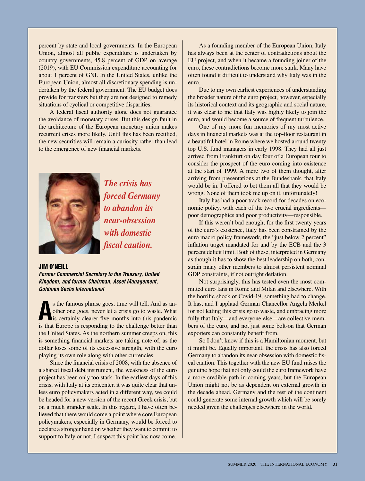percent by state and local governments. In the European Union, almost all public expenditure is undertaken by country governments, 45.8 percent of GDP on average (2019), with EU Commission expenditure accounting for about 1 percent of GNI. In the United States, unlike the European Union, almost all discretionary spending is undertaken by the federal government. The EU budget does provide for transfers but they are not designed to remedy situations of cyclical or competitive disparities.

A federal fiscal authority alone does not guarantee the avoidance of monetary crises. But this design fault in the architecture of the European monetary union makes recurrent crises more likely. Until this has been rectified, the new securities will remain a curiosity rather than lead to the emergence of new financial markets.



*The crisis has forced Germany to abandon its near-obsession with domestic fiscal caution.*

#### JIM O'NEILL

*Former Commercial Secretary to the Treasury, United Kingdom, and former Chairman, Asset Management, Goldman Sachs International*

**A** is the famous phrase goes, time will tell. And as another one goes, never let a crisis go to waste. What is certainly clearer five months into this pandemic is that Europe is responding to the challenge better than s the famous phrase goes, time will tell. And as another one goes, never let a crisis go to waste. What is certainly clearer five months into this pandemic the United States. As the northern summer creeps on, this is something financial markets are taking note of, as the dollar loses some of its excessive strength, with the euro playing its own role along with other currencies.

Since the financial crisis of 2008, with the absence of a shared fiscal debt instrument, the weakness of the euro project has been only too stark. In the earliest days of this crisis, with Italy at its epicenter, it was quite clear that unless euro policymakers acted in a different way, we could be headed for a new version of the recent Greek crisis, but on a much grander scale. In this regard, I have often believed that there would come a point where core European policymakers, especially in Germany, would be forced to declare a stronger hand on whether they want to commit to support to Italy or not. I suspect this point has now come.

As a founding member of the European Union, Italy has always been at the center of contradictions about the EU project, and when it became a founding joiner of the euro, these contradictions become more stark. Many have often found it difficult to understand why Italy was in the euro.

Due to my own earliest experiences of understanding the broader nature of the euro project, however, especially its historical context and its geographic and social nature, it was clear to me that Italy was highly likely to join the euro, and would become a source of frequent turbulence.

One of my more fun memories of my most active days in financial markets was at the top-floor restaurant in a beautiful hotel in Rome where we hosted around twenty top U.S. fund managers in early 1998. They had all just arrived from Frankfurt on day four of a European tour to consider the prospect of the euro coming into existence at the start of 1999. A mere two of them thought, after arriving from presentations at the Bundesbank, that Italy would be in. I offered to bet them all that they would be wrong. None of them took me up on it, unfortunately!

Italy has had a poor track record for decades on economic policy, with each of the two crucial ingredients poor demographics and poor productivity—responsible.

If this weren't bad enough, for the first twenty years of the euro's existence, Italy has been constrained by the euro macro policy framework, the "just below 2 percent" inflation target mandated for and by the ECB and the 3 percent deficit limit. Both of these, interpreted in Germany as though it has to show the best leadership on both, constrain many other members to almost persistent nominal GDP constraints, if not outright deflation.

Not surprisingly, this has tested even the most committed euro fans in Rome and Milan and elsewhere. With the horrific shock of Covid-19, something had to change. It has, and I applaud German Chancellor Angela Merkel for not letting this crisis go to waste, and embracing more fully that Italy—and everyone else—are collective members of the euro, and not just some bolt-on that German exporters can constantly benefit from.

So I don't know if this is a Hamiltonian moment, but it might be. Equally important, the crisis has also forced Germany to abandon its near-obsession with domestic fiscal caution. This together with the new EU fund raises the genuine hope that not only could the euro framework have a more credible path in coming years, but the European Union might not be as dependent on external growth in the decade ahead. Germany and the rest of the continent could generate some internal growth which will be sorely needed given the challenges elsewhere in the world.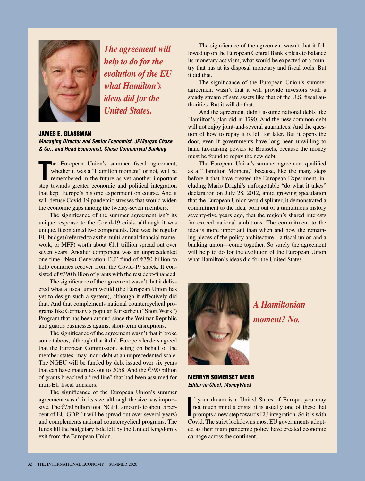

*The agreement will help to do for the evolution of the EU what Hamilton's ideas did for the United States.* 

# JAMES E. GLASSMAN

*Managing Director and Senior Economist, JPMorgan Chase & Co., and Head Economist, Chase Commercial Banking*

The European Union's summer fiscal agreement, whether it was a "Hamilton moment" or not, will be remembered in the future as yet another important step towards greater economic and political integration he European Union's summer fiscal agreement, whether it was a "Hamilton moment" or not, will be remembered in the future as yet another important that kept Europe's historic experiment on course. And it will defuse Covid-19 pandemic stresses that would widen the economic gaps among the twenty-seven members.

The significance of the summer agreement isn't its unique response to the Covid-19 crisis, although it was unique. It contained two components. One was the regular EU budget (referred to as the multi-annual financial framework, or MFF) worth about  $\epsilon$ 1.1 trillion spread out over seven years. Another component was an unprecedented one-time "Next Generation EU" fund of €750 billion to help countries recover from the Covid-19 shock. It consisted of €390 billion of grants with the rest debt-financed.

The significance of the agreement wasn't that it delivered what a fiscal union would (the European Union has yet to design such a system), although it effectively did that. And that complements national countercyclical programs like Germany's popular Kurzarbeit ("Short Work") Program that has been around since the Weimar Republic and guards businesses against short-term disruptions.

The significance of the agreement wasn't that it broke some taboos, although that it did. Europe's leaders agreed that the European Commission, acting on behalf of the member states, may incur debt at an unprecedented scale. The NGEU will be funded by debt issued over six years that can have maturities out to 2058. And the  $\epsilon$ 390 billion of grants breached a "red line" that had been assumed for intra-EU fiscal transfers.

The significance of the European Union's summer agreement wasn't in its size, although the size was impressive. The  $\epsilon$ 750 billion total NGEU amounts to about 5 percent of EU GDP (it will be spread out over several years) and complements national countercyclical programs. The funds fill the budgetary hole left by the United Kingdom's exit from the European Union.

The significance of the agreement wasn't that it followed up on the European Central Bank's pleas to balance its monetary activism, what would be expected of a country that has at its disposal monetary and fiscal tools. But it did that.

The significance of the European Union's summer agreement wasn't that it will provide investors with a steady stream of safe assets like that of the U.S. fiscal authorities. But it will do that.

And the agreement didn't assume national debts like Hamilton's plan did in 1790. And the new common debt will not enjoy joint-and-several guarantees. And the question of how to repay it is left for later. But it opens the door, even if governments have long been unwilling to hand tax-raising powers to Brussels, because the money must be found to repay the new debt.

The European Union's summer agreement qualified as a "Hamilton Moment," because, like the many steps before it that have created the European Experiment, including Mario Draghi's unforgettable "do what it takes" declaration on July 28, 2012, amid growing speculation that the European Union would splinter, it demonstrated a commitment to the idea, born out of a tumultuous history seventy-five years ago, that the region's shared interests far exceed national ambitions. The commitment to the idea is more important than when and how the remaining pieces of the policy architecture—a fiscal union and a banking union—come together. So surely the agreement will help to do for the evolution of the European Union what Hamilton's ideas did for the United States.



*A Hamiltonian moment? No.*

MERRYN SOMERSET WEBB *Editor-in-Chief, MoneyWeek*

**I** f your dream is a United States of Europe, you may not much mind a crisis: it is usually one of these that prompts a new step towards EU integration. So it is with Could The strict look wards EU III gates f your dream is a United States of Europe, you may not much mind a crisis: it is usually one of these that Covid. The strict lockdowns most EU governments adopted as their main pandemic policy have created economic carnage across the continent.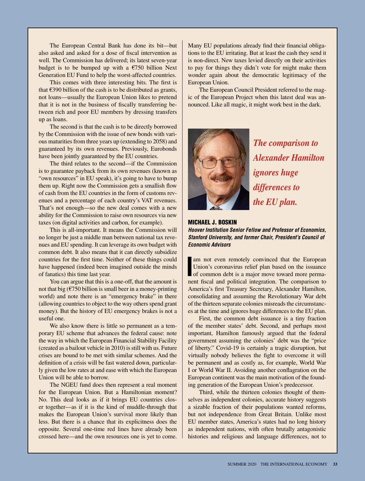The European Central Bank has done its bit—but also asked and asked for a dose of fiscal intervention as well. The Commission has delivered; its latest seven-year budget is to be bumped up with a  $\epsilon$ 750 billion Next Generation EU Fund to help the worst-affected countries.

This comes with three interesting bits. The first is that  $\epsilon$ 390 billion of the cash is to be distributed as grants, not loans—usually the European Union likes to pretend that it is not in the business of fiscally transferring between rich and poor EU members by dressing transfers up as loans.

The second is that the cash is to be directly borrowed by the Commission with the issue of new bonds with various maturities from three years up (extending to 2058) and guaranteed by its own revenues. Previously, Eurobonds have been jointly guaranteed by the EU countries.

The third relates to the second—if the Commission is to guarantee payback from its own revenues (known as "own resources" in EU speak), it's going to have to bump them up. Right now the Commission gets a smallish flow of cash from the EU countries in the form of customs revenues and a percentage of each country's VAT revenues. That's not enough—so the new deal comes with a new ability for the Commission to raise own resources via new taxes (on digital activities and carbon, for example).

This is all-important. It means the Commission will no longer be just a middle man between national tax revenues and EU spending. It can leverage its own budget with common debt. It also means that it can directly subsidize countries for the first time. Neither of these things could have happened (indeed been imagined outside the minds of fanatics) this time last year.

You can argue that this is a one-off, that the amount is not that big  $(6750$  billion is small beer in a money-printing world) and note there is an "emergency brake" in there (allowing countries to object to the way others spend grant money). But the history of EU emergency brakes is not a useful one.

We also know there is little so permanent as a temporary EU scheme that advances the federal cause: note the way in which the European Financial Stability Facility (created as a bailout vehicle in 2010) is still with us. Future crises are bound to be met with similar schemes. And the definition of a crisis will be fast watered down, particularly given the low rates at and ease with which the European Union will be able to borrow.

The NGEU fund does then represent a real moment for the European Union. But a Hamiltonian moment? No. This deal looks as if it brings EU countries closer together—as if it is the kind of muddle-through that makes the European Union's survival more likely than less. But there is a chance that its explicitness does the opposite. Several one-time red lines have already been crossed here—and the own resources one is yet to come.

Many EU populations already find their financial obligations to the EU irritating. But at least the cash they send it is non-direct. New taxes levied directly on their activities to pay for things they didn't vote for might make them wonder again about the democratic legitimacy of the European Union.

The European Council President referred to the magic of the European Project when this latest deal was announced. Like all magic, it might work best in the dark.



*The comparison to Alexander Hamilton ignores huge differences to the EU plan.* 

#### MICHAEL J. BOSKIN

*Hoover Institution Senior Fellow and Professor of Economics, Stanford University, and former Chair, President's Council of Economic Advisors*

Im not even remotely convinced that the European Union's coronavirus relief plan based on the issuance of common debt is a major move toward more perma-Union's coronavirus relief plan based on the issuance nent fiscal and political integration. The comparison to America's first Treasury Secretary, Alexander Hamilton, consolidating and assuming the Revolutionary War debt of the thirteen separate colonies misreads the circumstances at the time and ignores huge differences to the EU plan.

First, the common debt issuance is a tiny fraction of the member states' debt. Second, and perhaps most important, Hamilton famously argued that the federal government assuming the colonies' debt was the "price of liberty." Covid-19 is certainly a tragic disruption, but virtually nobody believes the fight to overcome it will be permanent and as costly as, for example, World War I or World War II. Avoiding another conflagration on the European continent was the main motivation of the founding generation of the European Union's predecessor.

Third, while the thirteen colonies thought of themselves as independent colonies, accurate history suggests a sizable fraction of their populations wanted reforms, but not independence from Great Britain. Unlike most EU member states, America's states had no long history as independent nations, with often brutally antagonistic histories and religious and language differences, not to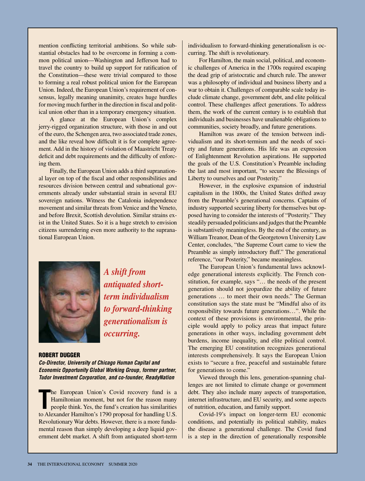mention conflicting territorial ambitions. So while substantial obstacles had to be overcome in forming a common political union—Washington and Jefferson had to travel the country to build up support for ratification of the Constitution—these were trivial compared to those to forming a real robust political union for the European Union. Indeed, the European Union's requirement of consensus, legally meaning unanimity, creates huge hurdles for moving much further in the direction in fiscal and political union other than in a temporary emergency situation.

A glance at the European Union's complex jerry-rigged organization structure, with those in and out of the euro, the Schengen area, two associated trade zones, and the like reveal how difficult it is for complete agreement. Add in the history of violation of Maastricht Treaty deficit and debt requirements and the difficulty of enforcing them.

Finally, the European Union adds a third supranational layer on top of the fiscal and other responsibilities and resources division between central and subnational governments already under substantial strain in several EU sovereign nations. Witness the Catalonia independence movement and similar threats from Venice and the Veneto, and before Brexit, Scottish devolution. Similar strains exist in the United States. So it is a huge stretch to envision citizens surrendering even more authority to the supranational European Union.



*A shift from antiquated shortterm individualism to forward-thinking generationalism is occurring.* 

# ROBERT DUGGER

*Co-Director, University of Chicago Human Capital and Economic Opportunity Global Working Group, former partner, Tudor Investment Corporation, and co-founder, ReadyNation*

The European Union's Covid recovery fund is a Hamiltonian moment, but not for the reason many people think. Yes, the fund's creation has similarities to Alexander Hamilton's 1790 proposal for handling U.S. he European Union's Covid recovery fund is a Hamiltonian moment, but not for the reason many people think. Yes, the fund's creation has similarities Revolutionary War debts. However, there is a more fundamental reason than simply developing a deep liquid government debt market. A shift from antiquated short-term

individualism to forward-thinking generationalism is occurring. The shift is revolutionary.

For Hamilton, the main social, political, and economic challenges of America in the 1700s required escaping the dead grip of aristocratic and church rule. The answer was a philosophy of individual and business liberty and a war to obtain it. Challenges of comparable scale today include climate change, government debt, and elite political control. These challenges affect generations. To address them, the work of the current century is to establish that individuals and businesses have unalienable obligations to communities, society broadly, and future generations.

Hamilton was aware of the tension between individualism and its short-termism and the needs of society and future generations. His life was an expression of Enlightenment Revolution aspirations. He supported the goals of the U.S. Constitution's Preamble including the last and most important, "to secure the Blessings of Liberty to ourselves and our Posterity."

However, in the explosive expansion of industrial capitalism in the 1800s, the United States drifted away from the Preamble's generational concerns. Captains of industry supported securing liberty for themselves but opposed having to consider the interests of "Posterity." They steadily persuaded politicians and judges that the Preamble is substantively meaningless. By the end of the century, as William Treanor, Dean of the Georgetown University Law Center, concludes, "the Supreme Court came to view the Preamble as simply introductory fluff." The generational reference, "our Posterity," became meaningless.

The European Union's fundamental laws acknowledge generational interests explicitly. The French constitution, for example, says "… the needs of the present generation should not jeopardize the ability of future generations … to meet their own needs." The German constitution says the state must be "Mindful also of its responsibility towards future generations…". While the context of these provisions is environmental, the principle would apply to policy areas that impact future generations in other ways, including government debt burdens, income inequality, and elite political control. The emerging EU constitution recognizes generational interests comprehensively. It says the European Union exists to "secure a free, peaceful and sustainable future for generations to come."

Viewed through this lens, generation-spanning challenges are not limited to climate change or government debt. They also include many aspects of transportation, internet infrastructure, and EU security, and some aspects of nutrition, education, and family support.

Covid-19's impact on longer-term EU economic conditions, and potentially its political stability, makes the disease a generational challenge. The Covid fund is a step in the direction of generationally responsible